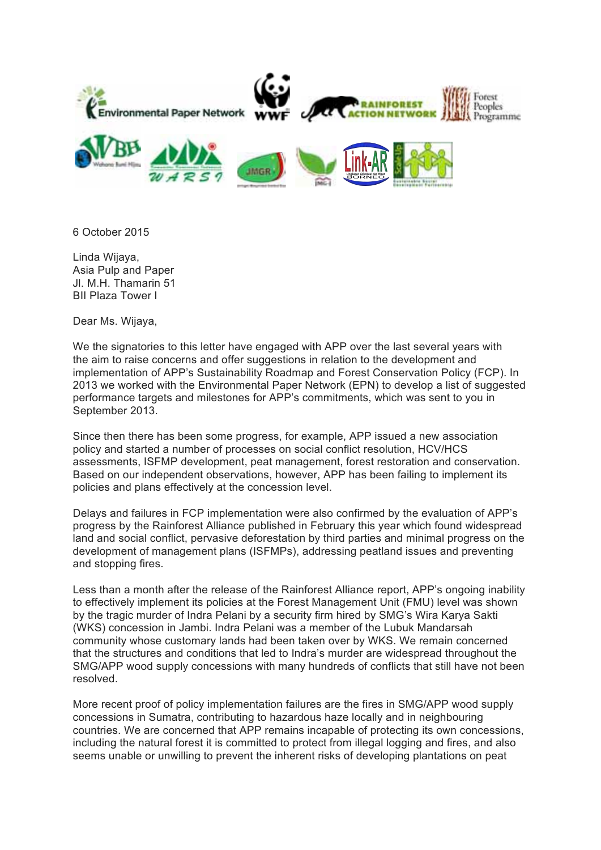

6 October 2015

Linda Wijaya, Asia Pulp and Paper Jl. M.H. Thamarin 51 BII Plaza Tower I

Dear Ms. Wijaya,

We the signatories to this letter have engaged with APP over the last several years with the aim to raise concerns and offer suggestions in relation to the development and implementation of APP's Sustainability Roadmap and Forest Conservation Policy (FCP). In 2013 we worked with the Environmental Paper Network (EPN) to develop a list of suggested performance targets and milestones for APP's commitments, which was sent to you in September 2013.

Since then there has been some progress, for example, APP issued a new association policy and started a number of processes on social conflict resolution, HCV/HCS assessments, ISFMP development, peat management, forest restoration and conservation. Based on our independent observations, however, APP has been failing to implement its policies and plans effectively at the concession level.

Delays and failures in FCP implementation were also confirmed by the evaluation of APP's progress by the Rainforest Alliance published in February this year which found widespread land and social conflict, pervasive deforestation by third parties and minimal progress on the development of management plans (ISFMPs), addressing peatland issues and preventing and stopping fires.

Less than a month after the release of the Rainforest Alliance report, APP's ongoing inability to effectively implement its policies at the Forest Management Unit (FMU) level was shown by the tragic murder of Indra Pelani by a security firm hired by SMG's Wira Karya Sakti (WKS) concession in Jambi. Indra Pelani was a member of the Lubuk Mandarsah community whose customary lands had been taken over by WKS. We remain concerned that the structures and conditions that led to Indra's murder are widespread throughout the SMG/APP wood supply concessions with many hundreds of conflicts that still have not been resolved.

More recent proof of policy implementation failures are the fires in SMG/APP wood supply concessions in Sumatra, contributing to hazardous haze locally and in neighbouring countries. We are concerned that APP remains incapable of protecting its own concessions, including the natural forest it is committed to protect from illegal logging and fires, and also seems unable or unwilling to prevent the inherent risks of developing plantations on peat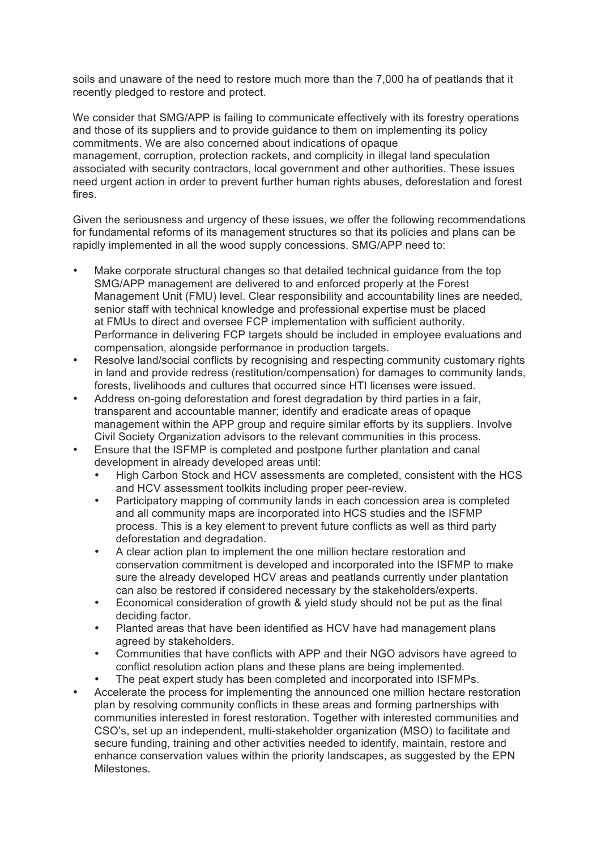soils and unaware of the need to restore much more than the 7,000 ha of peatlands that it recently pledged to restore and protect.

We consider that SMG/APP is failing to communicate effectively with its forestry operations and those of its suppliers and to provide guidance to them on implementing its policy commitments. We are also concerned about indications of opaque management, corruption, protection rackets, and complicity in illegal land speculation associated with security contractors, local government and other authorities. These issues need urgent action in order to prevent further human rights abuses, deforestation and forest fires.

Given the seriousness and urgency of these issues, we offer the following recommendations for fundamental reforms of its management structures so that its policies and plans can be rapidly implemented in all the wood supply concessions. SMG/APP need to:

- Make corporate structural changes so that detailed technical guidance from the top SMG/APP management are delivered to and enforced properly at the Forest Management Unit (FMU) level. Clear responsibility and accountability lines are needed, senior staff with technical knowledge and professional expertise must be placed at FMUs to direct and oversee FCP implementation with sufficient authority. Performance in delivering FCP targets should be included in employee evaluations and compensation, alongside performance in production targets.
- Resolve land/social conflicts by recognising and respecting community customary rights in land and provide redress (restitution/compensation) for damages to community lands, forests, livelihoods and cultures that occurred since HTI licenses were issued.
- Address on-going deforestation and forest degradation by third parties in a fair, transparent and accountable manner; identify and eradicate areas of opaque management within the APP group and require similar efforts by its suppliers. Involve Civil Society Organization advisors to the relevant communities in this process.
- Ensure that the ISFMP is completed and postpone further plantation and canal development in already developed areas until:
	- High Carbon Stock and HCV assessments are completed, consistent with the HCS and HCV assessment toolkits including proper peer-review.
	- Participatory mapping of community lands in each concession area is completed and all community maps are incorporated into HCS studies and the ISFMP process. This is a key element to prevent future conflicts as well as third party deforestation and degradation.
	- A clear action plan to implement the one million hectare restoration and conservation commitment is developed and incorporated into the ISFMP to make sure the already developed HCV areas and peatlands currently under plantation can also be restored if considered necessary by the stakeholders/experts.
	- Economical consideration of growth & yield study should not be put as the final deciding factor.
	- Planted areas that have been identified as HCV have had management plans agreed by stakeholders.
	- Communities that have conflicts with APP and their NGO advisors have agreed to conflict resolution action plans and these plans are being implemented.
	- The peat expert study has been completed and incorporated into ISFMPs.
- Accelerate the process for implementing the announced one million hectare restoration plan by resolving community conflicts in these areas and forming partnerships with communities interested in forest restoration. Together with interested communities and CSO's, set up an independent, multi-stakeholder organization (MSO) to facilitate and secure funding, training and other activities needed to identify, maintain, restore and enhance conservation values within the priority landscapes, as suggested by the EPN **Milestones**